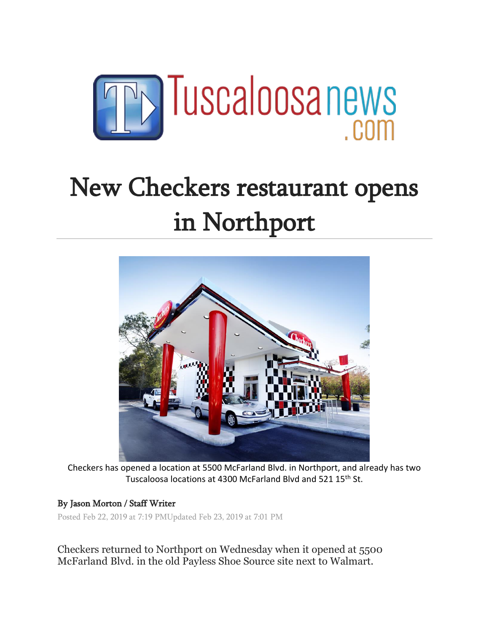

## New Checkers restaurant opens in Northport



Checkers has opened a location at 5500 McFarland Blvd. in Northport, and already has two Tuscaloosa locations at 4300 McFarland Blvd and 521 15<sup>th</sup> St.

## By Jason Morton / Staff Writer

Posted Feb 22, 2019 at 7:19 PMUpdated Feb 23, 2019 at 7:01 PM

Checkers returned to Northport on Wednesday when it opened at 5500 McFarland Blvd. in the old Payless Shoe Source site next to Walmart.